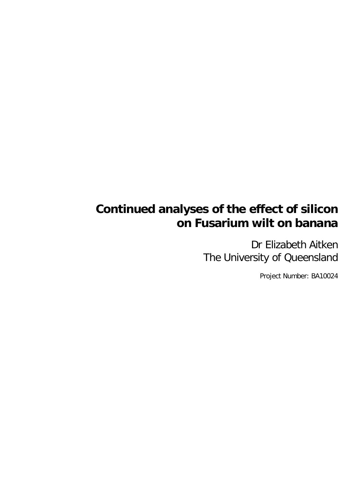# **Continued analyses of the effect of silicon on Fusarium wilt on banana**

Dr Elizabeth Aitken The University of Queensland

Project Number: BA10024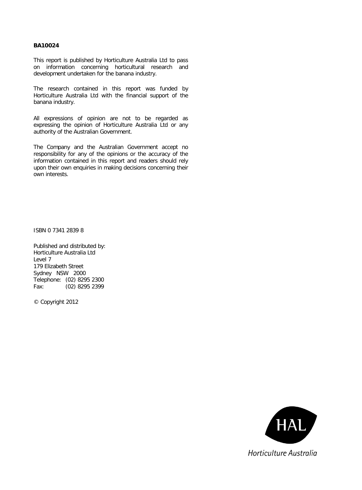#### **BA10024**

This report is published by Horticulture Australia Ltd to pass on information concerning horticultural research and development undertaken for the banana industry.

The research contained in this report was funded by Horticulture Australia Ltd with the financial support of the banana industry.

All expressions of opinion are not to be regarded as expressing the opinion of Horticulture Australia Ltd or any authority of the Australian Government.

The Company and the Australian Government accept no responsibility for any of the opinions or the accuracy of the information contained in this report and readers should rely upon their own enquiries in making decisions concerning their own interests.

ISBN 0 7341 2839 8

Published and distributed by: Horticulture Australia Ltd Level 7 179 Elizabeth Street Sydney NSW 2000 Telephone: (02) 8295 2300 Fax: (02) 8295 2399

© Copyright 2012

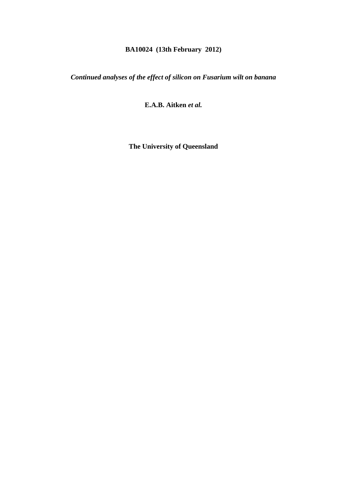# **BA10024 (13th February 2012)**

*Continued analyses of the effect of silicon on Fusarium wilt on banana* 

**E.A.B. Aitken** *et al.* 

**The University of Queensland**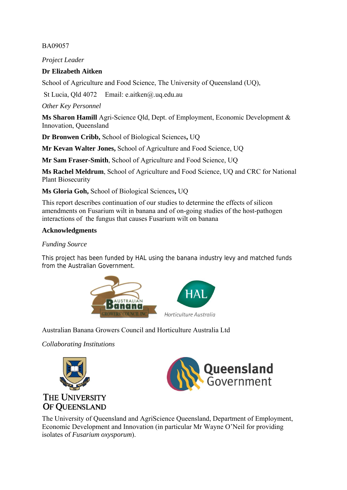### BA09057

*Project Leader* 

### **Dr Elizabeth Aitken**

School of Agriculture and Food Science, The University of Queensland (UQ),

St Lucia, Qld 4072 Email: e.aitken@.uq.edu.au

*Other Key Personnel* 

**Ms Sharon Hamill** Agri-Science Qld, Dept. of Employment, Economic Development & Innovation, Queensland

**Dr Bronwen Cribb,** School of Biological Sciences**,** UQ

**Mr Kevan Walter Jones,** School of Agriculture and Food Science, UQ

**Mr Sam Fraser-Smith**, School of Agriculture and Food Science, UQ

**Ms Rachel Meldrum**, School of Agriculture and Food Science, UQ and CRC for National Plant Biosecurity

**Ms Gloria Goh,** School of Biological Sciences**,** UQ

This report describes continuation of our studies to determine the effects of silicon amendments on Fusarium wilt in banana and of on-going studies of the host-pathogen interactions of the fungus that causes Fusarium wilt on banana

### **Acknowledgments**

#### *Funding Source*

This project has been funded by HAL using the banana industry levy and matched funds from the Australian Government.



Australian Banana Growers Council and Horticulture Australia Ltd

*Collaborating Institutions* 





The University of Queensland and AgriScience Queensland, Department of Employment, Economic Development and Innovation (in particular Mr Wayne O'Neil for providing isolates of *Fusarium oxysporum*).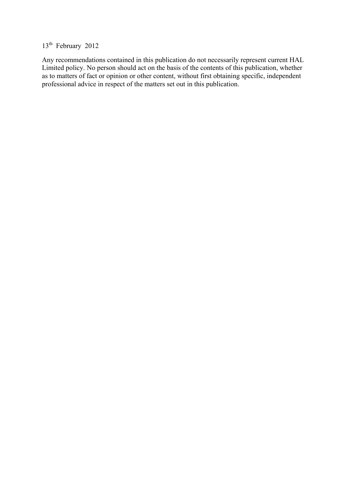# 13<sup>th</sup> February 2012

Any recommendations contained in this publication do not necessarily represent current HAL Limited policy. No person should act on the basis of the contents of this publication, whether as to matters of fact or opinion or other content, without first obtaining specific, independent professional advice in respect of the matters set out in this publication.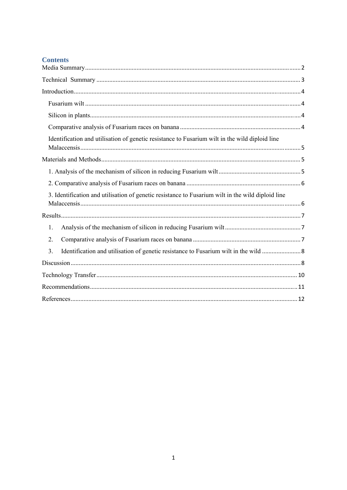| Identification and utilisation of genetic resistance to Fusarium wilt in the wild diploid line    |
|---------------------------------------------------------------------------------------------------|
|                                                                                                   |
|                                                                                                   |
|                                                                                                   |
| 3. Identification and utilisation of genetic resistance to Fusarium wilt in the wild diploid line |
|                                                                                                   |
| 1.                                                                                                |
| 2.                                                                                                |
| Identification and utilisation of genetic resistance to Fusarium wilt in the wild  8<br>3.        |
|                                                                                                   |
|                                                                                                   |
|                                                                                                   |
|                                                                                                   |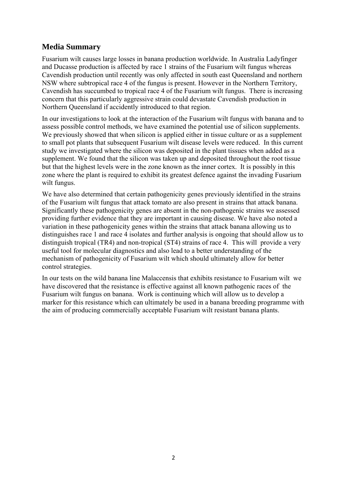### **Media Summary**

Fusarium wilt causes large losses in banana production worldwide. In Australia Ladyfinger and Ducasse production is affected by race 1 strains of the Fusarium wilt fungus whereas Cavendish production until recently was only affected in south east Queensland and northern NSW where subtropical race 4 of the fungus is present. However in the Northern Territory, Cavendish has succumbed to tropical race 4 of the Fusarium wilt fungus. There is increasing concern that this particularly aggressive strain could devastate Cavendish production in Northern Queensland if accidently introduced to that region.

In our investigations to look at the interaction of the Fusarium wilt fungus with banana and to assess possible control methods, we have examined the potential use of silicon supplements. We previously showed that when silicon is applied either in tissue culture or as a supplement to small pot plants that subsequent Fusarium wilt disease levels were reduced. In this current study we investigated where the silicon was deposited in the plant tissues when added as a supplement. We found that the silicon was taken up and deposited throughout the root tissue but that the highest levels were in the zone known as the inner cortex. It is possibly in this zone where the plant is required to exhibit its greatest defence against the invading Fusarium wilt fungus.

We have also determined that certain pathogenicity genes previously identified in the strains of the Fusarium wilt fungus that attack tomato are also present in strains that attack banana. Significantly these pathogenicity genes are absent in the non-pathogenic strains we assessed providing further evidence that they are important in causing disease. We have also noted a variation in these pathogenicity genes within the strains that attack banana allowing us to distinguishes race 1 and race 4 isolates and further analysis is ongoing that should allow us to distinguish tropical (TR4) and non-tropical (ST4) strains of race 4. This will provide a very useful tool for molecular diagnostics and also lead to a better understanding of the mechanism of pathogenicity of Fusarium wilt which should ultimately allow for better control strategies.

In our tests on the wild banana line Malaccensis that exhibits resistance to Fusarium wilt we have discovered that the resistance is effective against all known pathogenic races of the Fusarium wilt fungus on banana. Work is continuing which will allow us to develop a marker for this resistance which can ultimately be used in a banana breeding programme with the aim of producing commercially acceptable Fusarium wilt resistant banana plants.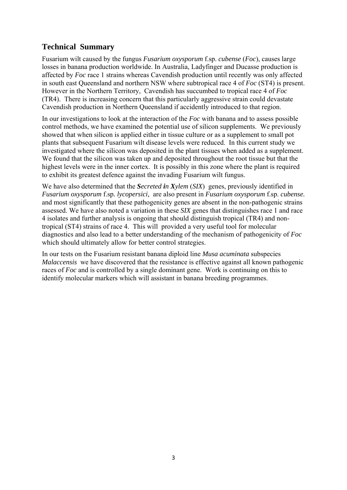# **Technical Summary**

Fusarium wilt caused by the fungus *Fusarium oxysporum* f.sp. *cubense* (*Foc*), causes large losses in banana production worldwide. In Australia, Ladyfinger and Ducasse production is affected by *Foc* race 1 strains whereas Cavendish production until recently was only affected in south east Queensland and northern NSW where subtropical race 4 of *Foc* (ST4) is present. However in the Northern Territory, Cavendish has succumbed to tropical race 4 of *Foc* (TR4). There is increasing concern that this particularly aggressive strain could devastate Cavendish production in Northern Queensland if accidently introduced to that region.

In our investigations to look at the interaction of the *Foc* with banana and to assess possible control methods, we have examined the potential use of silicon supplements. We previously showed that when silicon is applied either in tissue culture or as a supplement to small pot plants that subsequent Fusarium wilt disease levels were reduced. In this current study we investigated where the silicon was deposited in the plant tissues when added as a supplement. We found that the silicon was taken up and deposited throughout the root tissue but that the highest levels were in the inner cortex. It is possibly in this zone where the plant is required to exhibit its greatest defence against the invading Fusarium wilt fungus.

We have also determined that the *Secreted in Xylem* (*SIX*) genes, previously identified in *Fusarium oxysporum* f.sp*. lycopersici,* are also present in *Fusarium oxysporum* f.sp. *cubense.* and most significantly that these pathogenicity genes are absent in the non-pathogenic strains assessed. We have also noted a variation in these *SIX* genes that distinguishes race 1 and race 4 isolates and further analysis is ongoing that should distinguish tropical (TR4) and nontropical (ST4) strains of race 4. This will provided a very useful tool for molecular diagnostics and also lead to a better understanding of the mechanism of pathogenicity of *Foc* which should ultimately allow for better control strategies.

In our tests on the Fusarium resistant banana diploid line *Musa acuminata* subspecies *Malaccensis* we have discovered that the resistance is effective against all known pathogenic races of *Foc* and is controlled by a single dominant gene. Work is continuing on this to identify molecular markers which will assistant in banana breeding programmes.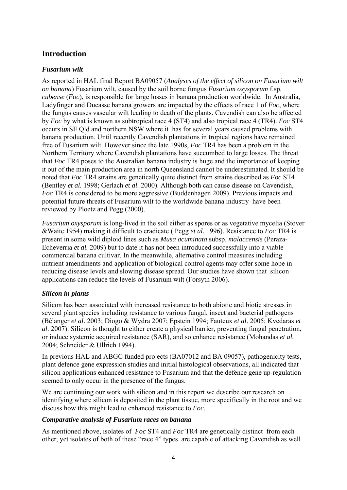# **Introduction**

#### *Fusarium wilt*

As reported in HAL final Report BA09057 (*Analyses of the effect of silicon on Fusarium wilt on banana*) Fusarium wilt, caused by the soil borne fungus *Fusarium oxysporum* f.sp. *cubense* (*Foc*), is responsible for large losses in banana production worldwide. In Australia, Ladyfinger and Ducasse banana growers are impacted by the effects of race 1 of *Foc*, where the fungus causes vascular wilt leading to death of the plants. Cavendish can also be affected by *Foc* by what is known as subtropical race 4 (ST4) and also tropical race 4 (TR4). *Foc* ST4 occurs in SE Qld and northern NSW where it has for several years caused problems with banana production. Until recently Cavendish plantations in tropical regions have remained free of Fusarium wilt. However since the late 1990s, *Foc* TR4 has been a problem in the Northern Territory where Cavendish plantations have succumbed to large losses. The threat that *Foc* TR4 poses to the Australian banana industry is huge and the importance of keeping it out of the main production area in north Queensland cannot be underestimated. It should be noted that *Foc* TR4 strains are genetically quite distinct from strains described as *Foc* ST4 (Bentley *et al.* 1998; Gerlach *et al.* 2000). Although both can cause disease on Cavendish, *Foc* TR4 is considered to be more aggressive (Buddenhagen 2009). Previous impacts and potential future threats of Fusarium wilt to the worldwide banana industry have been reviewed by Ploetz and Pegg (2000).

*Fusarium oxysporum* is long-lived in the soil either as spores or as vegetative mycelia (Stover &Waite 1954) making it difficult to eradicate ( Pegg *et al.* 1996). Resistance to *Foc* TR4 is present in some wild diploid lines such as *Musa acuminata* subsp. *malaccensis* (Peraza-Echeverria *et al.* 2009) but to date it has not been introduced successfully into a viable commercial banana cultivar. In the meanwhile, alternative control measures including nutrient amendments and application of biological control agents may offer some hope in reducing disease levels and slowing disease spread. Our studies have shown that silicon applications can reduce the levels of Fusarium wilt (Forsyth 2006).

#### *Silicon in plants*

Silicon has been associated with increased resistance to both abiotic and biotic stresses in several plant species including resistance to various fungal, insect and bacterial pathogens (Bélanger *et al*. 2003; Diogo & Wydra 2007; Epstein 1994; Fauteux *et al*. 2005; Kvedaras *et al*. 2007). Silicon is thought to either create a physical barrier, preventing fungal penetration, or induce systemic acquired resistance (SAR), and so enhance resistance (Mohandas *et al.* 2004; Schneider & Ullrich 1994).

In previous HAL and ABGC funded projects (BA07012 and BA 09057), pathogenicity tests, plant defence gene expression studies and initial histological observations, all indicated that silicon applications enhanced resistance to Fusarium and that the defence gene up-regulation seemed to only occur in the presence of the fungus.

We are continuing our work with silicon and in this report we describe our research on identifying where silicon is deposited in the plant tissue, more specifically in the root and we discuss how this might lead to enhanced resistance to *Foc.* 

#### *Comparative analysis of Fusarium races on banana*

As mentioned above, isolates of *Foc* ST4 and *Foc* TR4 are genetically distinct from each other, yet isolates of both of these "race 4" types are capable of attacking Cavendish as well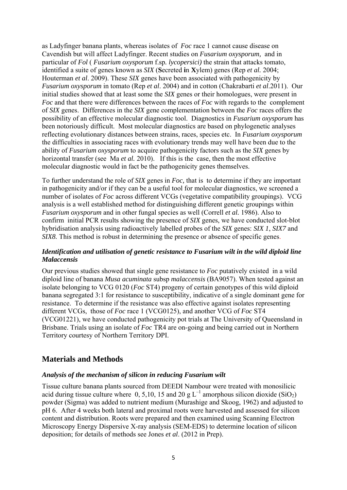as Ladyfinger banana plants, whereas isolates of *Foc* race 1 cannot cause disease on Cavendish but will affect Ladyfinger. Recent studies on *Fusarium oxysporum,* and in particular of *Fol* ( *Fusarium oxysporum* f.sp*. lycopersici)* the strain that attacks tomato, identified a suite of genes known as *SIX* (**S**ecreted **i**n **X**ylem) genes (Rep *et al.* 2004; Houterman *et al*. 2009). These *SIX* genes have been associated with pathogenicity by *Fusarium oxysporum* in tomato (Rep *et al*. 2004) and in cotton (Chakrabarti *et al*.2011). Our initial studies showed that at least some the *SIX* genes or their homologues, were present in *Foc* and that there were differences between the races of *Foc* with regards to the complement of *SIX* genes. Differences in the *SIX* gene complementation between the *Foc* races offers the possibility of an effective molecular diagnostic tool. Diagnostics in *Fusarium oxysporum* has been notoriously difficult. Most molecular diagnostics are based on phylogenetic analyses reflecting evolutionary distances between strains, races, species etc. In *Fusarium oxysporum* the difficulties in associating races with evolutionary trends may well have been due to the ability of *Fusarium oxysporum* to acquire pathogenicity factors such as the *SIX* genes by horizontal transfer (see Ma *et al.* 2010). If this is the case, then the most effective molecular diagnostic would in fact be the pathogenicity genes themselves.

To further understand the role of *SIX* genes in *Foc,* that is to determine if they are important in pathogenicity and/or if they can be a useful tool for molecular diagnostics, we screened a number of isolates of *Foc* across different VCGs (vegetative compatibility groupings). VCG analysis is a well established method for distinguishing different genetic groupings within *Fusarium oxysporum* and in other fungal species as well (Correll *et al.* 1986). Also to confirm initial PCR results showing the presence of *SIX* genes, we have conducted slot-blot hybridisation analysis using radioactively labelled probes of the *SIX* genes: *SIX 1*, *SIX7* and *SIX8*. This method is robust in determining the presence or absence of specific genes.

#### *Identification and utilisation of genetic resistance to Fusarium wilt in the wild diploid line Malaccensis*

Our previous studies showed that single gene resistance to *Foc* putatively existed in a wild diploid line of banana *Musa acuminata* subsp *malaccensis* (BA9057). When tested against an isolate belonging to VCG 0120 (*Foc* ST4) progeny of certain genotypes of this wild diploid banana segregated 3:1 for resistance to susceptibility, indicative of a single dominant gene for resistance. To determine if the resistance was also effective against isolates representing different VCGs, those of *Foc* race 1 (VCG0125), and another VCG of *Foc* ST4 (VCG01221), we have conducted pathogenicity pot trials at The University of Queensland in Brisbane. Trials using an isolate of *Foc* TR4 are on-going and being carried out in Northern Territory courtesy of Northern Territory DPI.

### **Materials and Methods**

#### *Analysis of the mechanism of silicon in reducing Fusarium wilt*

Tissue culture banana plants sourced from DEEDI Nambour were treated with monosilicic acid during tissue culture where 0, 5,10, 15 and 20 g  $L^{-1}$  amorphous silicon dioxide (SiO<sub>2</sub>) powder (Sigma) was added to nutrient medium (Murashige and Skoog, 1962) and adjusted to pH 6. After 4 weeks both lateral and proximal roots were harvested and assessed for silicon content and distribution. Roots were prepared and then examined using Scanning Electron Microscopy Energy Dispersive X-ray analysis (SEM-EDS) to determine location of silicon deposition; for details of methods see Jones *et al*. (2012 in Prep).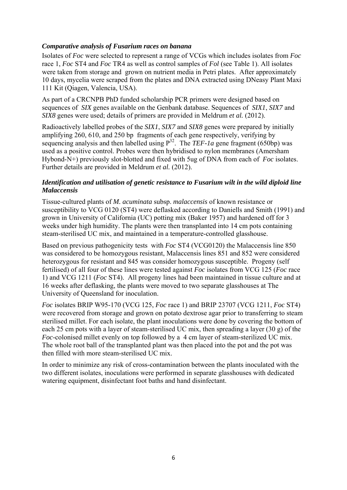#### *Comparative analysis of Fusarium races on banana*

Isolates of *Foc* were selected to represent a range of VCGs which includes isolates from *Foc* race 1, *Foc* ST4 and *Foc* TR4 as well as control samples of *Fol* (see Table 1). All isolates were taken from storage and grown on nutrient media in Petri plates. After approximately 10 days, mycelia were scraped from the plates and DNA extracted using DNeasy Plant Maxi 111 Kit (Qiagen, Valencia, USA).

As part of a CRCNPB PhD funded scholarship PCR primers were designed based on sequences of *SIX* genes available on the Genbank database. Sequences of *SIX1*, *SIX7* and *SIX8* genes were used; details of primers are provided in Meldrum *et al.* (2012).

Radioactively labelled probes of the *SIX1*, *SIX7* and *SIX8* genes were prepared by initially amplifying 260, 610, and 250 bp fragments of each gene respectively, verifying by sequencing analysis and then labelled using  $P^{32}$ . The *TEF-1a* gene fragment (650bp) was used as a positive control. Probes were then hybridised to nylon membranes (Amersham Hybond-N+) previously slot-blotted and fixed with 5ug of DNA from each of *Foc* isolates. Further details are provided in Meldrum *et al.* (2012).

#### *Identification and utilisation of genetic resistance to Fusarium wilt in the wild diploid line Malaccensis*

Tissue-cultured plants of *M. acuminata* subsp. *malaccensis* of known resistance or susceptibility to VCG 0120 (ST4) were deflasked according to Daniells and Smith (1991) and grown in University of California (UC) potting mix (Baker 1957) and hardened off for 3 weeks under high humidity. The plants were then transplanted into 14 cm pots containing steam-sterilised UC mix, and maintained in a temperature-controlled glasshouse.

Based on previous pathogenicity tests with *Foc* ST4 (VCG0120) the Malaccensis line 850 was considered to be homozygous resistant, Malaccensis lines 851 and 852 were considered heterozygous for resistant and 845 was consider homozygous susceptible. Progeny (self fertilised) of all four of these lines were tested against *Foc* isolates from VCG 125 (*Foc* race 1) and VCG 1211 (*Foc* ST4). All progeny lines had been maintained in tissue culture and at 16 weeks after deflasking, the plants were moved to two separate glasshouses at The University of Queensland for inoculation.

*Foc* isolates BRIP W95-170 (VCG 125, *Foc* race 1) and BRIP 23707 (VCG 1211, *Foc* ST4) were recovered from storage and grown on potato dextrose agar prior to transferring to steam sterilised millet. For each isolate, the plant inoculations were done by covering the bottom of each 25 cm pots with a layer of steam-sterilised UC mix, then spreading a layer (30 g) of the *Foc*-colonised millet evenly on top followed by a 4 cm layer of steam-sterilized UC mix. The whole root ball of the transplanted plant was then placed into the pot and the pot was then filled with more steam-sterilised UC mix.

In order to minimize any risk of cross-contamination between the plants inoculated with the two different isolates, inoculations were performed in separate glasshouses with dedicated watering equipment, disinfectant foot baths and hand disinfectant.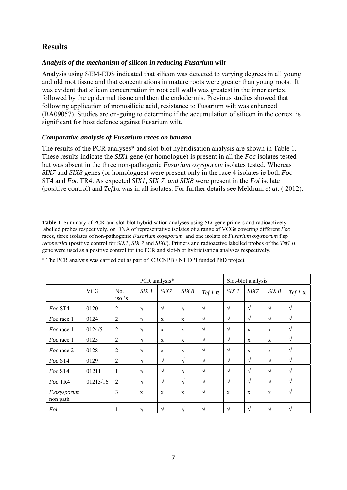# **Results**

#### *Analysis of the mechanism of silicon in reducing Fusarium wilt*

Analysis using SEM-EDS indicated that silicon was detected to varying degrees in all young and old root tissue and that concentrations in mature roots were greater than young roots. It was evident that silicon concentration in root cell walls was greatest in the inner cortex, followed by the epidermal tissue and then the endodermis. Previous studies showed that following application of monosilicic acid, resistance to Fusarium wilt was enhanced (BA09057). Studies are on-going to determine if the accumulation of silicon in the cortex is significant for host defence against Fusarium wilt.

#### *Comparative analysis of Fusarium races on banana*

The results of the PCR analyses\* and slot-blot hybridisation analysis are shown in Table 1. These results indicate the *SIX1* gene (or homologue) is present in all the *Foc* isolates tested but was absent in the three non-pathogenic *Fusarium oxysporum* isolates tested. Whereas *SIX7* and *SIX8* genes (or homologues) were present only in the race 4 isolates ie both *Foc*  ST4 and *Foc* TR4. As expected *SIX1, SIX 7, and SIX8* were present in the *Fol* isolate (positive control) and *Tef1*α was in all isolates. For further details see Meldrum *et al.* ( 2012).

**Table 1**. Summary of PCR and slot-blot hybridisation analyses using *SIX* gene primers and radioactively labelled probes respectively, on DNA of representative isolates of a range of VCGs covering different *Foc* races, three isolates of non-pathogenic *Fusarium oxysporum* and one isolate of *Fusarium oxysporum* f.sp *lycopersici* (positive control for *SIX1*, *SIX 7* and *SIX8*). Primers and radioactive labelled probes of the *Tef1* α gene were used as a positive control for the PCR and slot-blot hybridisation analyses respectively.

|                                |            |                | PCR analysis* |              |              |                | Slot-blot analysis |             |             |                |
|--------------------------------|------------|----------------|---------------|--------------|--------------|----------------|--------------------|-------------|-------------|----------------|
|                                | <b>VCG</b> | No.<br>isol's  | SIX 1         | <i>SIX7</i>  | SIX 8        | Tef 1 $\alpha$ | SIX1               | SIX7        | SIX 8       | Tef 1 $\alpha$ |
| Foc ST4                        | 0120       | $\overline{2}$ | $\sqrt{ }$    | $\sqrt{ }$   | $\sqrt{ }$   | $\sqrt{ }$     | $\sqrt{ }$         | $\sqrt{ }$  | $\sqrt{ }$  | $\sqrt{}$      |
| Foc race 1                     | 0124       | $\overline{2}$ | $\sqrt{ }$    | $\mathbf{X}$ | $\mathbf x$  | $\sqrt{ }$     | $\sqrt{ }$         | $\sqrt{ }$  | $\sqrt{ }$  | $\sqrt{ }$     |
| Foc race 1                     | 0124/5     | $\overline{2}$ | $\sqrt{ }$    | $\mathbf{X}$ | $\mathbf{x}$ | $\sqrt{ }$     | $\sqrt{ }$         | X           | $\mathbf x$ | $\sqrt{ }$     |
| <i>Foc</i> race 1              | 0125       | $\overline{c}$ | $\sqrt{ }$    | X            | $\mathbf X$  | $\sqrt{ }$     | $\sqrt{ }$         | X           | $\mathbf X$ | $\sqrt{ }$     |
| Foc race 2                     | 0128       | $\overline{2}$ | $\sqrt{ }$    | $\mathbf{X}$ | $\mathbf x$  | $\sqrt{ }$     | V                  | X           | $\mathbf X$ | $\sqrt{ }$     |
| Foc ST4                        | 0129       | $\overline{2}$ | $\sqrt{ }$    | $\sqrt{ }$   | $\sqrt{ }$   | $\sqrt{ }$     | $\sqrt{ }$         | $\sqrt{ }$  | $\sqrt{ }$  | $\sqrt{ }$     |
| Foc ST4                        | 01211      | 1              | $\sqrt{ }$    | $\sqrt{ }$   | $\sqrt{ }$   | $\sqrt{ }$     | $\sqrt{ }$         | $\sqrt{ }$  | $\sqrt{ }$  | $\sqrt{ }$     |
| Foc TR4                        | 01213/16   | $\overline{c}$ | $\sqrt{ }$    | $\sqrt{ }$   | $\sqrt{ }$   | $\sqrt{ }$     | $\sqrt{ }$         | $\sqrt{ }$  | $\sqrt{ }$  | $\sqrt{}$      |
| <i>F.oxysporum</i><br>non path |            | 3              | $\mathbf X$   | $\mathbf X$  | X            | $\sqrt{ }$     | $\mathbf X$        | $\mathbf X$ | $\mathbf X$ | $\sqrt{ }$     |
| Fol                            |            | 1              | $\sqrt{ }$    | $\sqrt{ }$   | $\sqrt{ }$   | $\sqrt{ }$     | $\sqrt{ }$         | $\sqrt{ }$  | $\sqrt{ }$  | $\sqrt{ }$     |

\* The PCR analysis was carried out as part of CRCNPB / NT DPI funded PhD project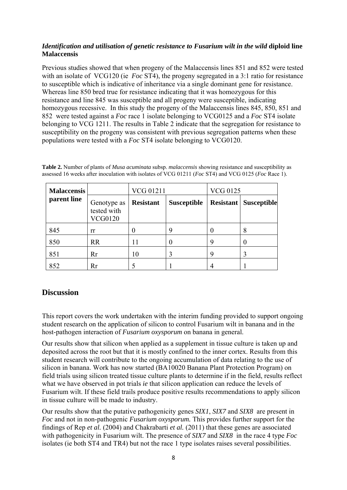#### *Identification and utilisation of genetic resistance to Fusarium wilt in the wild* **diploid line Malaccensis**

Previous studies showed that when progeny of the Malaccensis lines 851 and 852 were tested with an isolate of VCG120 (ie *Foc* ST4), the progeny segregated in a 3:1 ratio for resistance to susceptible which is indicative of inheritance via a single dominant gene for resistance. Whereas line 850 bred true for resistance indicating that it was homozygous for this resistance and line 845 was susceptible and all progeny were susceptible, indicating homozygous recessive. In this study the progeny of the Malaccensis lines 845, 850, 851 and 852 were tested against a *Foc* race 1 isolate belonging to VCG0125 and a *Foc* ST4 isolate belonging to VCG 1211. The results in Table 2 indicate that the segregation for resistance to susceptibility on the progeny was consistent with previous segregation patterns when these populations were tested with a *Foc* ST4 isolate belonging to VCG0120.

**Table 2.** Number of plants of *Musa acuminata* subsp. *malaccensis* showing resistance and susceptibility as assessed 16 weeks after inoculation with isolates of VCG 01211 (*Foc* ST4) and VCG 0125 (*Foc* Race 1).

| <b>Malaccensis</b> |                                              | VCG 01211        |                    | <b>VCG 0125</b>  |                    |  |
|--------------------|----------------------------------------------|------------------|--------------------|------------------|--------------------|--|
| parent line        | Genotype as<br>tested with<br><b>VCG0120</b> | <b>Resistant</b> | <b>Susceptible</b> | <b>Resistant</b> | <b>Susceptible</b> |  |
| 845                | rr                                           |                  |                    |                  | 8                  |  |
| 850                | <b>RR</b>                                    |                  |                    |                  |                    |  |
| 851                | Rr                                           | 10               |                    | Q                |                    |  |
| 852                | Rr                                           |                  |                    |                  |                    |  |

### **Discussion**

This report covers the work undertaken with the interim funding provided to support ongoing student research on the application of silicon to control Fusarium wilt in banana and in the host-pathogen interaction of *Fusarium oxysporum* on banana in general.

Our results show that silicon when applied as a supplement in tissue culture is taken up and deposited across the root but that it is mostly confined to the inner cortex. Results from this student research will contribute to the ongoing accumulation of data relating to the use of silicon in banana. Work has now started (BA10020 Banana Plant Protection Program) on field trials using silicon treated tissue culture plants to determine if in the field, results reflect what we have observed in pot trials *ie* that silicon application can reduce the levels of Fusarium wilt. If these field trails produce positive results recommendations to apply silicon in tissue culture will be made to industry.

Our results show that the putative pathogenicity genes *SIX1*, *SIX7* and *SIX8* are present in *Foc* and not in non-pathogenic *Fusarium oxysporum.* This provides further support for the findings of Rep *et al.* (2004) and Chakrabarti *et al.* (2011) that these genes are associated with pathogenicity in Fusarium wilt. The presence of *SIX7* and *SIX8* in the race 4 type *Foc* isolates (ie both ST4 and TR4) but not the race 1 type isolates raises several possibilities.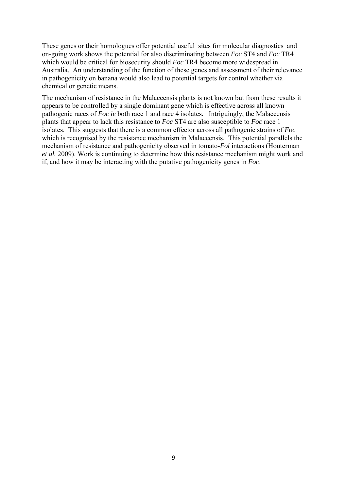These genes or their homologues offer potential useful sites for molecular diagnostics and on-going work shows the potential for also discriminating between *Foc* ST4 and *Foc* TR4 which would be critical for biosecurity should *Foc* TR4 become more widespread in Australia. An understanding of the function of these genes and assessment of their relevance in pathogenicity on banana would also lead to potential targets for control whether via chemical or genetic means.

The mechanism of resistance in the Malaccensis plants is not known but from these results it appears to be controlled by a single dominant gene which is effective across all known pathogenic races of *Foc ie* both race 1 and race 4 isolates*.* Intriguingly, the Malaccensis plants that appear to lack this resistance to *Foc* ST4 are also susceptible to *Foc* race 1 isolates. This suggests that there is a common effector across all pathogenic strains of *Foc* which is recognised by the resistance mechanism in Malaccensis. This potential parallels the mechanism of resistance and pathogenicity observed in tomato-*Fol* interactions (Houterman *et al.* 2009). Work is continuing to determine how this resistance mechanism might work and if, and how it may be interacting with the putative pathogenicity genes in *Foc*.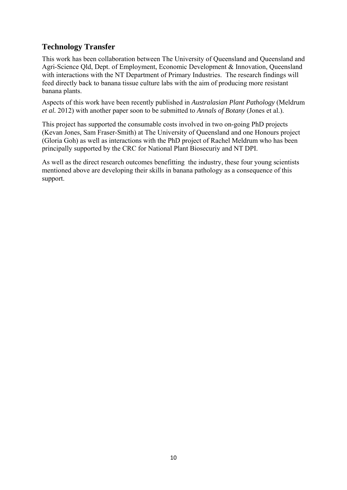# **Technology Transfer**

This work has been collaboration between The University of Queensland and Queensland and Agri-Science Qld, Dept. of Employment, Economic Development & Innovation, Queensland with interactions with the NT Department of Primary Industries. The research findings will feed directly back to banana tissue culture labs with the aim of producing more resistant banana plants.

Aspects of this work have been recently published in *Australasian Plant Pathology* (Meldrum *et al.* 2012) with another paper soon to be submitted to *Annals of Botany* (Jones et al.).

This project has supported the consumable costs involved in two on-going PhD projects (Kevan Jones, Sam Fraser-Smith) at The University of Queensland and one Honours project (Gloria Goh) as well as interactions with the PhD project of Rachel Meldrum who has been principally supported by the CRC for National Plant Biosecuriy and NT DPI.

As well as the direct research outcomes benefitting the industry, these four young scientists mentioned above are developing their skills in banana pathology as a consequence of this support.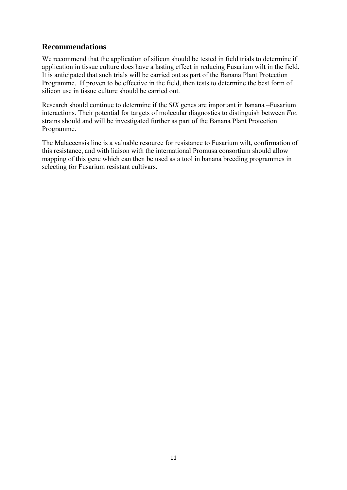### **Recommendations**

We recommend that the application of silicon should be tested in field trials to determine if application in tissue culture does have a lasting effect in reducing Fusarium wilt in the field. It is anticipated that such trials will be carried out as part of the Banana Plant Protection Programme. If proven to be effective in the field, then tests to determine the best form of silicon use in tissue culture should be carried out.

Research should continue to determine if the *SIX* genes are important in banana –Fusarium interactions. Their potential for targets of molecular diagnostics to distinguish between *Foc* strains should and will be investigated further as part of the Banana Plant Protection Programme.

The Malaccensis line is a valuable resource for resistance to Fusarium wilt, confirmation of this resistance, and with liaison with the international Promusa consortium should allow mapping of this gene which can then be used as a tool in banana breeding programmes in selecting for Fusarium resistant cultivars.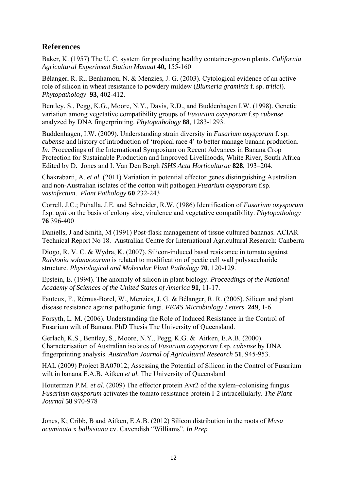## **References**

Baker, K. (1957) The U. C. system for producing healthy container-grown plants. *California Agricultural Experiment Station Manual* **40,** 155-160

Bélanger, R. R., Benhamou, N. & Menzies, J. G. (2003). Cytological evidence of an active role of silicon in wheat resistance to powdery mildew (*Blumeria graminis* f. sp. *tritici*). *Phytopathology* **93**, 402-412.

Bentley, S., Pegg, K.G., Moore, N.Y., Davis, R.D., and Buddenhagen I.W. (1998). Genetic variation among vegetative compatibility groups of *Fusarium oxysporum* f.sp *cubense* analyzed by DNA fingerprinting. *Phytopathology* **88**, 1283-1293.

Buddenhagen, I.W. (2009). Understanding strain diversity in *Fusarium oxysporum* f. sp. *cubense* and history of introduction of 'tropical race 4' to better manage banana production. *In:* Proceedings of the International Symposium on Recent Advances in Banana Crop Protection for Sustainable Production and Improved Livelihoods, White River, South Africa Edited by D. Jones and I. Van Den Bergh *ISHS Acta Horticulturae* **828**, 193–204.

Chakrabarti, A. *et al.* (2011) Variation in potential effector genes distinguishing Australian and non-Australian isolates of the cotton wilt pathogen *Fusarium oxysporum* f.sp. *vasinfectum*. *Plant Pathology* **60** 232-243

Correll, J.C.; Puhalla, J.E. and Schneider, R.W. (1986) Identification of *Fusarium oxysporum*  f.sp. *apii* on the basis of colony size, virulence and vegetative compatibility. *Phytopathology* **76** 396-400

Daniells, J and Smith, M (1991) Post-flask management of tissue cultured bananas. ACIAR Technical Report No 18. Australian Centre for International Agricultural Research: Canberra

Diogo, R. V. C. & Wydra, K. (2007). Silicon-induced basal resistance in tomato against *Ralstonia solanacearum* is related to modification of pectic cell wall polysaccharide structure. *Physiological and Molecular Plant Pathology* **70**, 120-129.

Epstein, E. (1994). The anomaly of silicon in plant biology. *Proceedings of the National Academy of Sciences of the United States of America* **91**, 11-17.

Fauteux, F., Rémus-Borel, W., Menzies, J. G. & Bélanger, R. R. (2005). Silicon and plant disease resistance against pathogenic fungi. *FEMS Microbiology Letters* **249**, 1-6.

Forsyth, L. M. (2006). Understanding the Role of Induced Resistance in the Control of Fusarium wilt of Banana. PhD Thesis The University of Queensland.

Gerlach, K.S., Bentley, S., Moore, N.Y., Pegg, K.G. & Aitken, E.A.B. (2000). Characterisation of Australian isolates of *Fusarium oxysporum* f.sp. *cubense* by DNA fingerprinting analysis. *Australian Journal of Agricultural Research* **51**, 945-953.

HAL (2009) Project BA07012; Assessing the Potential of Silicon in the Control of Fusarium wilt in banana E.A.B. Aitken *et al*. The University of Oueensland

Houterman P.M. *et al.* (2009) The effector protein Avr2 of the xylem–colonising fungus *Fusarium oxysporum* activates the tomato resistance protein I-2 intracellularly*. The Plant Journal* **58** 970-978

Jones, K; Cribb, B and Aitken, E.A.B. (2012) Silicon distribution in the roots of *Musa acuminata* x *balbisiana* cv. Cavendish "Williams". *In Prep*